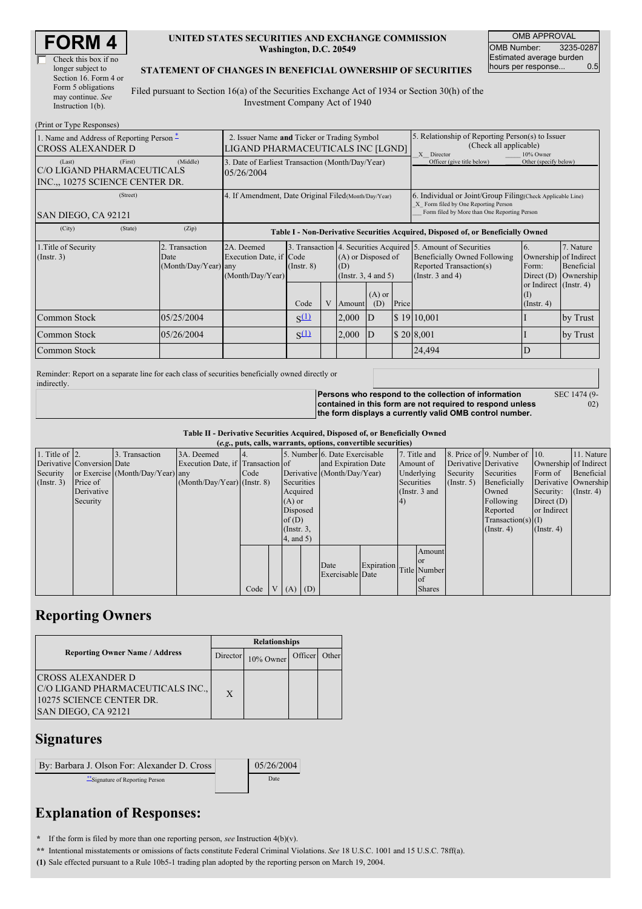| Check this box if no  |
|-----------------------|
| longer subject to     |
| Section 16. Form 4 or |
| Form 5 obligations    |
| may continue. See     |
| Instruction $1(b)$ .  |

### **UNITED STATES SECURITIES AND EXCHANGE COMMISSION Washington, D.C. 20549**

OMB APPROVAL OMB Number: 3235-0287 Estimated average burden<br>hours per response... 0.5 hours per response...

#### **STATEMENT OF CHANGES IN BENEFICIAL OWNERSHIP OF SECURITIES**

Filed pursuant to Section 16(a) of the Securities Exchange Act of 1934 or Section 30(h) of the Investment Company Act of 1940

| (Print or Type Responses)                                                          |                                                                                  |                                                                |                 |   |                                                       |                 |                                                                                                                                                    |                                                                                                                                                          |                                                |                                      |
|------------------------------------------------------------------------------------|----------------------------------------------------------------------------------|----------------------------------------------------------------|-----------------|---|-------------------------------------------------------|-----------------|----------------------------------------------------------------------------------------------------------------------------------------------------|----------------------------------------------------------------------------------------------------------------------------------------------------------|------------------------------------------------|--------------------------------------|
| 1. Name and Address of Reporting Person –<br><b>CROSS ALEXANDER D</b>              | 2. Issuer Name and Ticker or Trading Symbol<br>LIGAND PHARMACEUTICALS INC [LGND] |                                                                |                 |   |                                                       |                 | 5. Relationship of Reporting Person(s) to Issuer<br>(Check all applicable)<br>X Director<br>10% Owner                                              |                                                                                                                                                          |                                                |                                      |
| (First)<br>(Last)<br>C/O LIGAND PHARMACEUTICALS<br>INC.,, 10275 SCIENCE CENTER DR. | (Middle)                                                                         | 3. Date of Earliest Transaction (Month/Day/Year)<br>05/26/2004 |                 |   |                                                       |                 | Officer (give title below)                                                                                                                         | Other (specify below)                                                                                                                                    |                                                |                                      |
| (Street)<br>SAN DIEGO, CA 92121                                                    | 4. If Amendment, Date Original Filed (Month/Day/Year)                            |                                                                |                 |   |                                                       |                 | 6. Individual or Joint/Group Filing(Check Applicable Line)<br>X Form filed by One Reporting Person<br>Form filed by More than One Reporting Person |                                                                                                                                                          |                                                |                                      |
| (City)<br>(State)                                                                  | (Zip)                                                                            |                                                                |                 |   |                                                       |                 |                                                                                                                                                    | Table I - Non-Derivative Securities Acquired, Disposed of, or Beneficially Owned                                                                         |                                                |                                      |
| 1. Title of Security<br>(Insert. 3)                                                | 2. Transaction<br>Date<br>(Month/Day/Year) any                                   | 2A. Deemed<br>Execution Date, if Code<br>(Month/Day/Year)      | $($ Instr. $8)$ |   | (A) or Disposed of<br>(D)<br>(Instr. $3, 4$ and $5$ ) |                 |                                                                                                                                                    | 3. Transaction 4. Securities Acquired 5. Amount of Securities<br><b>Beneficially Owned Following</b><br>Reported Transaction(s)<br>(Instr. $3$ and $4$ ) | Ownership of Indirect<br>Form:<br>Direct $(D)$ | 7. Nature<br>Beneficial<br>Ownership |
|                                                                                    |                                                                                  |                                                                | Code            | V | Amount                                                | $(A)$ or<br>(D) | Price                                                                                                                                              |                                                                                                                                                          | or Indirect (Instr. 4)<br>(Insert 4)           |                                      |
| Common Stock                                                                       | 05/25/2004                                                                       |                                                                | $S^{(1)}$       |   | 2,000                                                 | ID              |                                                                                                                                                    | \$19 10,001                                                                                                                                              |                                                | by Trust                             |
| Common Stock                                                                       | 05/26/2004                                                                       |                                                                | $S^{(1)}$       |   | 2,000                                                 | ID              |                                                                                                                                                    | \$20 8,001                                                                                                                                               |                                                | by Trust                             |
| Common Stock                                                                       |                                                                                  |                                                                |                 |   |                                                       |                 |                                                                                                                                                    | 24,494                                                                                                                                                   | ID                                             |                                      |

Reminder: Report on a separate line for each class of securities beneficially owned directly or indirectly.

**Persons who respond to the collection of information contained in this form are not required to respond unless the form displays a currently valid OMB control number.** SEC 1474 (9-

02)

**Table II - Derivative Securities Acquired, Disposed of, or Beneficially Owned**

|                    |                            |                                  |                                   |      |          |                 | (e.g., puts, calls, warrants, options, convertible securities) |            |            |                 |                  |                              |                               |                      |
|--------------------|----------------------------|----------------------------------|-----------------------------------|------|----------|-----------------|----------------------------------------------------------------|------------|------------|-----------------|------------------|------------------------------|-------------------------------|----------------------|
| 1. Title of $ 2$ . |                            | 3. Transaction                   | 3A. Deemed                        |      |          |                 | 5. Number 6. Date Exercisable                                  |            |            | 7. Title and    |                  | 8. Price of 9. Number of 10. |                               | 11. Nature           |
|                    | Derivative Conversion Date |                                  | Execution Date, if Transaction of |      |          |                 | and Expiration Date                                            |            |            | Amount of       |                  | Derivative Derivative        | Ownership of Indirect         |                      |
| Security           |                            | or Exercise (Month/Day/Year) any |                                   | Code |          |                 | Derivative (Month/Day/Year)                                    |            |            | Underlying      | Security         | Securities                   | Form of                       | Beneficial           |
| (Insert. 3)        | Price of                   |                                  | $(Month/Day/Year)$ (Instr. 8)     |      |          | Securities      |                                                                |            | Securities |                 | $($ Instr. 5 $)$ | Beneficially                 |                               | Derivative Ownership |
|                    | Derivative                 |                                  |                                   |      |          | Acquired        |                                                                |            |            | (Instr. $3$ and |                  | Owned                        | Security: $(\text{Instr. 4})$ |                      |
|                    | Security                   |                                  |                                   |      | $(A)$ or |                 |                                                                |            | (4)        |                 |                  | Following                    | Direct $(D)$                  |                      |
|                    |                            |                                  |                                   |      |          | Disposed        |                                                                |            |            |                 |                  | Reported                     | or Indirect                   |                      |
|                    |                            |                                  |                                   |      | of $(D)$ |                 |                                                                |            |            |                 |                  | $Transaction(s)$ (I)         |                               |                      |
|                    |                            |                                  |                                   |      |          | $($ Instr. $3,$ |                                                                |            |            |                 |                  | $($ Instr. 4 $)$             | $($ Instr. 4 $)$              |                      |
|                    |                            |                                  |                                   |      |          | 4, and 5)       |                                                                |            |            |                 |                  |                              |                               |                      |
|                    |                            |                                  |                                   |      |          |                 |                                                                |            |            | Amount          |                  |                              |                               |                      |
|                    |                            |                                  |                                   |      |          |                 |                                                                |            |            | <b>or</b>       |                  |                              |                               |                      |
|                    |                            |                                  |                                   |      |          |                 | Date                                                           | Expiration |            | Title Number    |                  |                              |                               |                      |
|                    |                            |                                  |                                   |      |          |                 | Exercisable Date                                               |            |            | lof             |                  |                              |                               |                      |
|                    |                            |                                  |                                   | Code |          | $V(A)$ (D)      |                                                                |            |            | <b>Shares</b>   |                  |                              |                               |                      |

## **Reporting Owners**

|                                                                                                                  | <b>Relationships</b> |           |               |  |  |  |  |
|------------------------------------------------------------------------------------------------------------------|----------------------|-----------|---------------|--|--|--|--|
| <b>Reporting Owner Name / Address</b>                                                                            | Director             | 10% Owner | Officer Other |  |  |  |  |
| <b>ICROSS ALEXANDER D</b><br>C/O LIGAND PHARMACEUTICALS INC.,<br>10275 SCIENCE CENTER DR.<br>SAN DIEGO, CA 92121 | X                    |           |               |  |  |  |  |

## **Signatures**

| 05/26/2004 |
|------------|
| Date       |
|            |

# **Explanation of Responses:**

**\*** If the form is filed by more than one reporting person, *see* Instruction 4(b)(v).

**\*\*** Intentional misstatements or omissions of facts constitute Federal Criminal Violations. *See* 18 U.S.C. 1001 and 15 U.S.C. 78ff(a).

**(1)** Sale effected pursuant to a Rule 10b5-1 trading plan adopted by the reporting person on March 19, 2004.